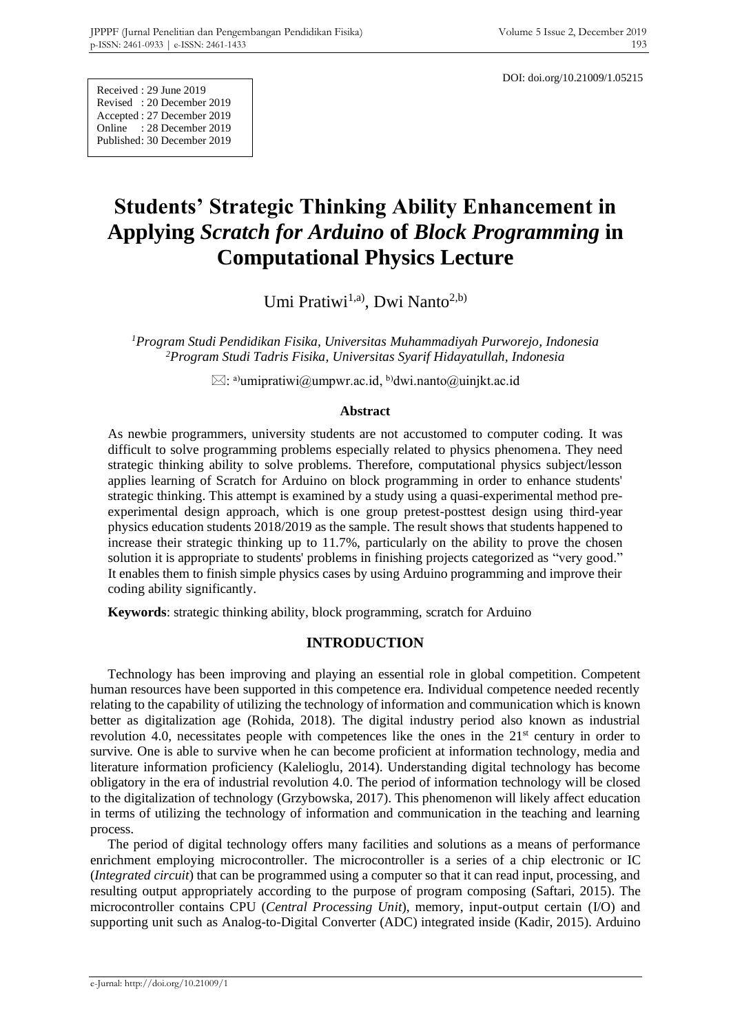DOI: doi.org/10.21009/1.05215

Received : 29 June 2019 Revised : 20 December 2019 Accepted : 27 December 2019 Online : 28 December 2019 Published: 30 December 2019

# **Students' Strategic Thinking Ability Enhancement in Applying** *Scratch for Arduino* **of** *Block Programming* **in Computational Physics Lecture**

Umi Pratiwi<sup>1,a)</sup>, Dwi Nanto<sup>2,b)</sup>

*<sup>1</sup>Program Studi Pendidikan Fisika, Universitas Muhammadiyah Purworejo, Indonesia <sup>2</sup>Program Studi Tadris Fisika, Universitas Syarif Hidayatullah, Indonesia*

 $\boxtimes$ : a)umipratiwi@umpwr.ac.id, <sup>b</sup>)dwi.nanto@uinjkt.ac.id

#### **Abstract**

As newbie programmers, university students are not accustomed to computer coding. It was difficult to solve programming problems especially related to physics phenomena. They need strategic thinking ability to solve problems. Therefore, computational physics subject/lesson applies learning of Scratch for Arduino on block programming in order to enhance students' strategic thinking. This attempt is examined by a study using a quasi-experimental method preexperimental design approach, which is one group pretest-posttest design using third-year physics education students 2018/2019 as the sample. The result shows that students happened to increase their strategic thinking up to 11.7%, particularly on the ability to prove the chosen solution it is appropriate to students' problems in finishing projects categorized as "very good." It enables them to finish simple physics cases by using Arduino programming and improve their coding ability significantly.

**Keywords**: strategic thinking ability, block programming, scratch for Arduino

# **INTRODUCTION**

Technology has been improving and playing an essential role in global competition. Competent human resources have been supported in this competence era. Individual competence needed recently relating to the capability of utilizing the technology of information and communication which is known better as digitalization age (Rohida, 2018). The digital industry period also known as industrial revolution 4.0, necessitates people with competences like the ones in the  $21<sup>st</sup>$  century in order to survive*.* One is able to survive when he can become proficient at information technology, media and literature information proficiency (Kalelioglu, 2014). Understanding digital technology has become obligatory in the era of industrial revolution 4.0. The period of information technology will be closed to the digitalization of technology (Grzybowska, 2017). This phenomenon will likely affect education in terms of utilizing the technology of information and communication in the teaching and learning process.

The period of digital technology offers many facilities and solutions as a means of performance enrichment employing microcontroller. The microcontroller is a series of a chip electronic or IC (*Integrated circuit*) that can be programmed using a computer so that it can read input, processing, and resulting output appropriately according to the purpose of program composing (Saftari, 2015). The microcontroller contains CPU (*Central Processing Unit*), memory, input-output certain (I/O) and supporting unit such as Analog-to-Digital Converter (ADC) integrated inside (Kadir, 2015). Arduino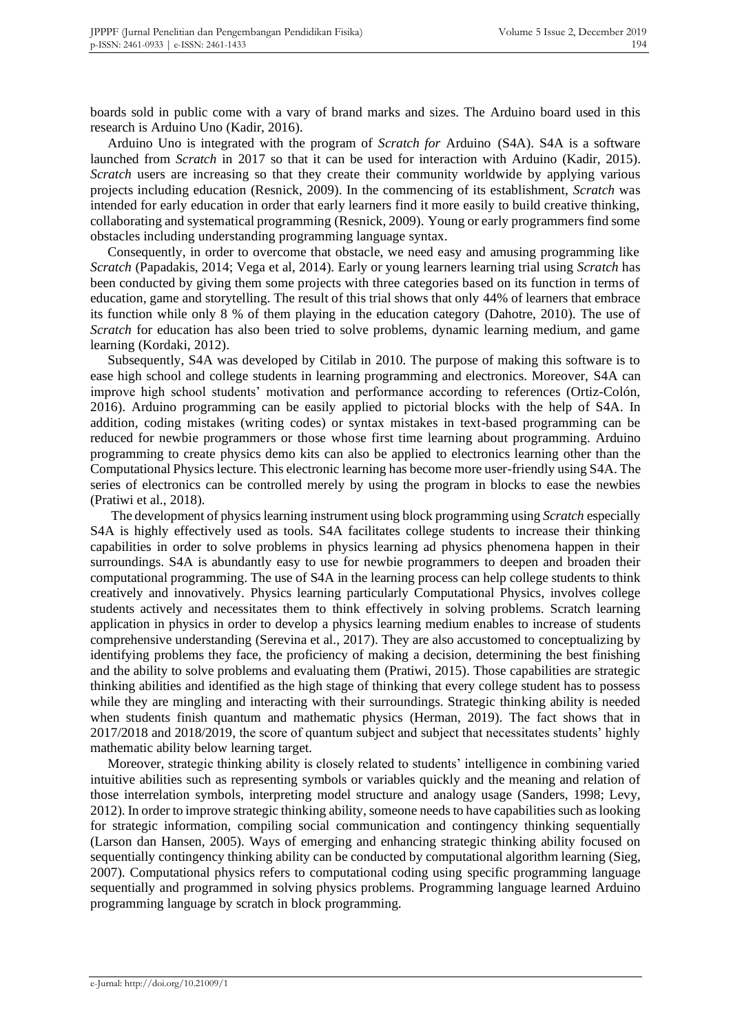boards sold in public come with a vary of brand marks and sizes. The Arduino board used in this research is Arduino Uno (Kadir, 2016).

Arduino Uno is integrated with the program of *Scratch for* Arduino (S4A). S4A is a software launched from *Scratch* in 2017 so that it can be used for interaction with Arduino (Kadir, 2015). *Scratch* users are increasing so that they create their community worldwide by applying various projects including education (Resnick, 2009). In the commencing of its establishment, *Scratch* was intended for early education in order that early learners find it more easily to build creative thinking, collaborating and systematical programming (Resnick, 2009). Young or early programmers find some obstacles including understanding programming language syntax.

Consequently, in order to overcome that obstacle, we need easy and amusing programming like *Scratch* (Papadakis, 2014; Vega et al, 2014). Early or young learners learning trial using *Scratch* has been conducted by giving them some projects with three categories based on its function in terms of education, game and storytelling. The result of this trial shows that only 44% of learners that embrace its function while only 8 % of them playing in the education category (Dahotre, 2010). The use of *Scratch* for education has also been tried to solve problems, dynamic learning medium, and game learning (Kordaki, 2012).

Subsequently, S4A was developed by Citilab in 2010. The purpose of making this software is to ease high school and college students in learning programming and electronics. Moreover, S4A can improve high school students' motivation and performance according to references (Ortiz-Colón, 2016). Arduino programming can be easily applied to pictorial blocks with the help of S4A. In addition, coding mistakes (writing codes) or syntax mistakes in text-based programming can be reduced for newbie programmers or those whose first time learning about programming. Arduino programming to create physics demo kits can also be applied to electronics learning other than the Computational Physics lecture. This electronic learning has become more user-friendly using S4A. The series of electronics can be controlled merely by using the program in blocks to ease the newbies (Pratiwi et al., 2018).

The development of physics learning instrument using block programming using *Scratch* especially S4A is highly effectively used as tools. S4A facilitates college students to increase their thinking capabilities in order to solve problems in physics learning ad physics phenomena happen in their surroundings. S4A is abundantly easy to use for newbie programmers to deepen and broaden their computational programming. The use of S4A in the learning process can help college students to think creatively and innovatively. Physics learning particularly Computational Physics, involves college students actively and necessitates them to think effectively in solving problems. Scratch learning application in physics in order to develop a physics learning medium enables to increase of students comprehensive understanding (Serevina et al., 2017). They are also accustomed to conceptualizing by identifying problems they face, the proficiency of making a decision, determining the best finishing and the ability to solve problems and evaluating them (Pratiwi, 2015). Those capabilities are strategic thinking abilities and identified as the high stage of thinking that every college student has to possess while they are mingling and interacting with their surroundings. Strategic thinking ability is needed when students finish quantum and mathematic physics (Herman, 2019). The fact shows that in 2017/2018 and 2018/2019, the score of quantum subject and subject that necessitates students' highly mathematic ability below learning target.

Moreover, strategic thinking ability is closely related to students' intelligence in combining varied intuitive abilities such as representing symbols or variables quickly and the meaning and relation of those interrelation symbols, interpreting model structure and analogy usage (Sanders, 1998; Levy, 2012). In order to improve strategic thinking ability, someone needs to have capabilities such as looking for strategic information, compiling social communication and contingency thinking sequentially (Larson dan Hansen, 2005). Ways of emerging and enhancing strategic thinking ability focused on sequentially contingency thinking ability can be conducted by computational algorithm learning (Sieg, 2007). Computational physics refers to computational coding using specific programming language sequentially and programmed in solving physics problems. Programming language learned Arduino programming language by scratch in block programming.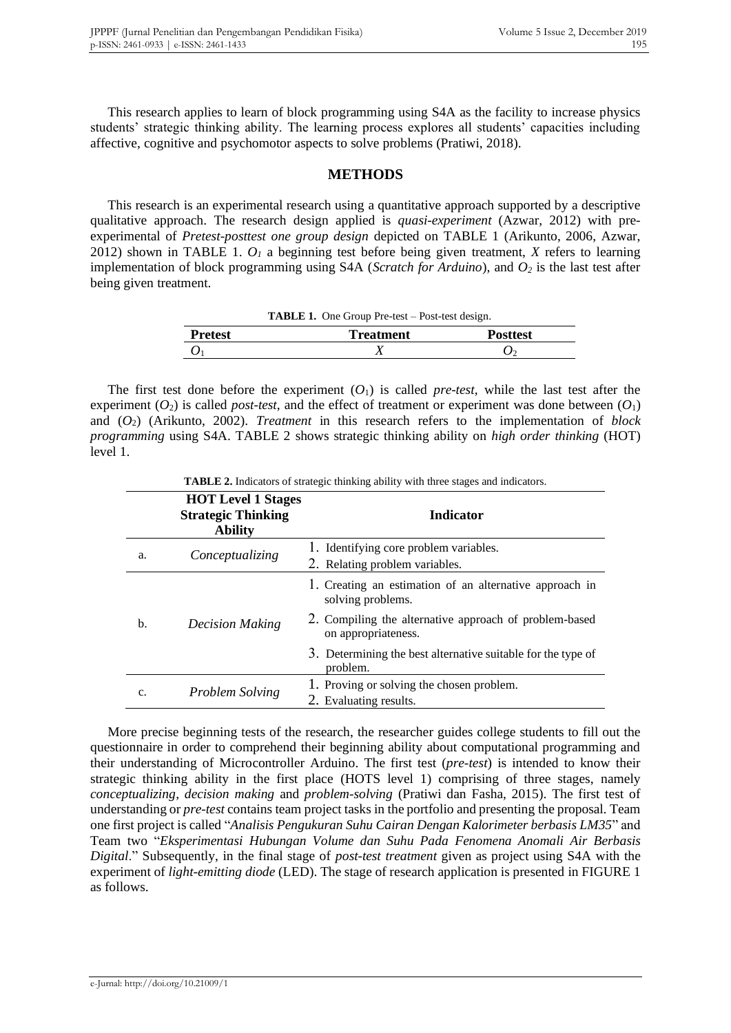This research applies to learn of block programming using S4A as the facility to increase physics students' strategic thinking ability. The learning process explores all students' capacities including affective, cognitive and psychomotor aspects to solve problems (Pratiwi, 2018).

## **METHODS**

This research is an experimental research using a quantitative approach supported by a descriptive qualitative approach. The research design applied is *quasi-experiment* (Azwar, 2012) with preexperimental of *Pretest-posttest one group design* depicted on TABLE 1 (Arikunto, 2006, Azwar, 2012) shown in TABLE 1. *O<sup>1</sup>* a beginning test before being given treatment, *X* refers to learning implementation of block programming using S4A (*Scratch for Arduino*), and *O<sup>2</sup>* is the last test after being given treatment.

**TABLE 1.** One Group Pre-test – Post-test design.

| <b>Pretest</b> | <b>Treatment</b> | Posttest |
|----------------|------------------|----------|
|                | <b>A</b>         |          |

The first test done before the experiment  $(O_1)$  is called *pre-test*, while the last test after the experiment  $(O_2)$  is called *post-test*, and the effect of treatment or experiment was done between  $(O_1)$ and (*O*2) (Arikunto, 2002). *Treatment* in this research refers to the implementation of *block programming* using S4A. TABLE 2 shows strategic thinking ability on *high order thinking* (HOT) level 1.

|    | <b>TADLE 2.</b> Indicators of strategic unitaing abouty with three stages and indicators. |                                                                               |  |  |  |  |
|----|-------------------------------------------------------------------------------------------|-------------------------------------------------------------------------------|--|--|--|--|
|    | <b>HOT Level 1 Stages</b><br><b>Strategic Thinking</b><br><b>Ability</b>                  | <b>Indicator</b>                                                              |  |  |  |  |
| a. | Conceptualizing                                                                           | 1. Identifying core problem variables.<br>2. Relating problem variables.      |  |  |  |  |
| b. |                                                                                           | 1. Creating an estimation of an alternative approach in<br>solving problems.  |  |  |  |  |
|    | <b>Decision Making</b>                                                                    | 2. Compiling the alternative approach of problem-based<br>on appropriateness. |  |  |  |  |
|    |                                                                                           | 3. Determining the best alternative suitable for the type of<br>problem.      |  |  |  |  |
| c. | Problem Solving                                                                           | 1. Proving or solving the chosen problem.<br>2. Evaluating results.           |  |  |  |  |

**TABLE 2.** Indicators of strategic thinking ability with three stages and indicators

More precise beginning tests of the research, the researcher guides college students to fill out the questionnaire in order to comprehend their beginning ability about computational programming and their understanding of Microcontroller Arduino. The first test (*pre-test*) is intended to know their strategic thinking ability in the first place (HOTS level 1) comprising of three stages, namely *conceptualizing*, *decision making* and *problem-solving* (Pratiwi dan Fasha, 2015). The first test of understanding or *pre-test* contains team project tasks in the portfolio and presenting the proposal. Team one first project is called "*Analisis Pengukuran Suhu Cairan Dengan Kalorimeter berbasis LM35*" and Team two "*Eksperimentasi Hubungan Volume dan Suhu Pada Fenomena Anomali Air Berbasis Digital*." Subsequently, in the final stage of *post-test treatment* given as project using S4A with the experiment of *light-emitting diode* (LED). The stage of research application is presented in FIGURE 1 as follows.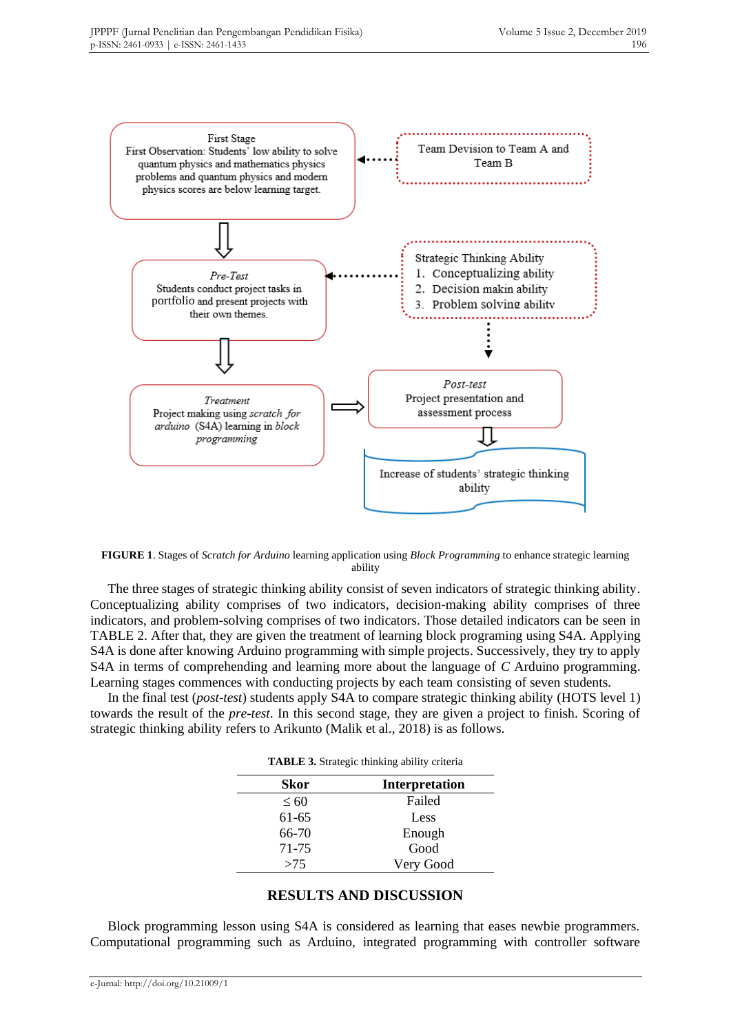

**FIGURE 1**. Stages of *Scratch for Arduino* learning application using *Block Programming* to enhance strategic learning ability

The three stages of strategic thinking ability consist of seven indicators of strategic thinking ability. Conceptualizing ability comprises of two indicators, decision-making ability comprises of three indicators, and problem-solving comprises of two indicators. Those detailed indicators can be seen in TABLE 2. After that, they are given the treatment of learning block programing using S4A. Applying S4A is done after knowing Arduino programming with simple projects. Successively, they try to apply S4A in terms of comprehending and learning more about the language of *C* Arduino programming. Learning stages commences with conducting projects by each team consisting of seven students.

In the final test (*post-test*) students apply S4A to compare strategic thinking ability (HOTS level 1) towards the result of the *pre-test*. In this second stage, they are given a project to finish. Scoring of strategic thinking ability refers to Arikunto (Malik et al., 2018) is as follows.

| <b>TABLE 3.</b> Strategic thinking ability criteria |  |  |
|-----------------------------------------------------|--|--|
|                                                     |  |  |

| Skor      | <b>Interpretation</b> |
|-----------|-----------------------|
| $\leq 60$ | Failed                |
| 61-65     | Less                  |
| 66-70     | Enough                |
| 71-75     | Good                  |
| >75       | Very Good             |

## **RESULTS AND DISCUSSION**

Block programming lesson using S4A is considered as learning that eases newbie programmers. Computational programming such as Arduino, integrated programming with controller software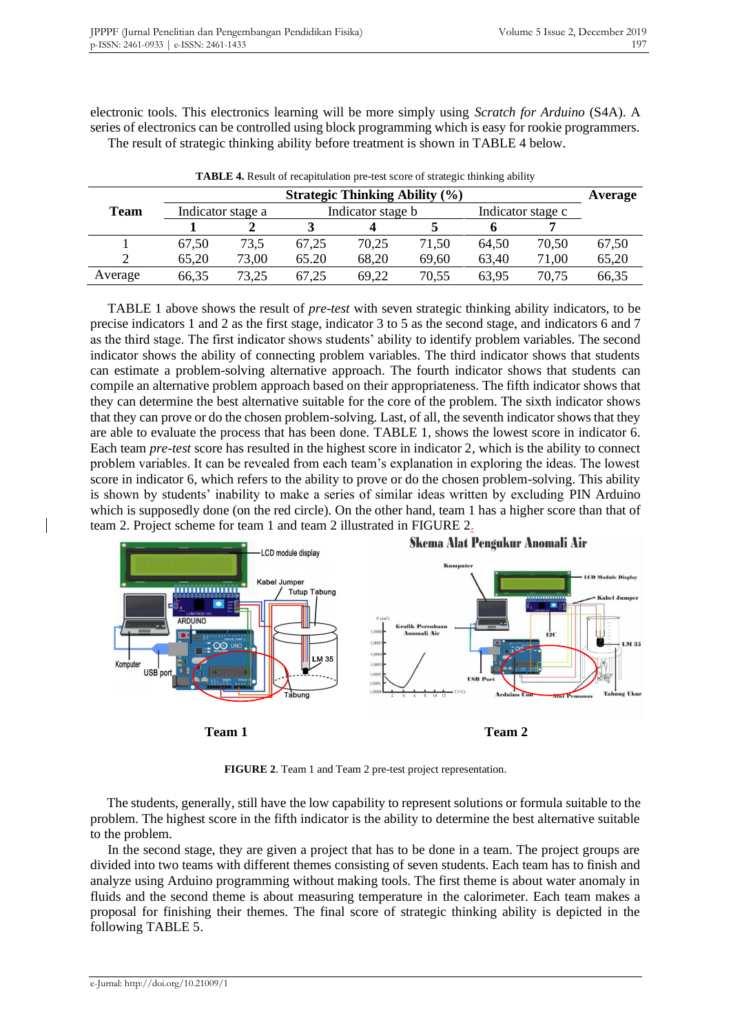electronic tools. This electronics learning will be more simply using *Scratch for Arduino* (S4A). A series of electronics can be controlled using block programming which is easy for rookie programmers. The result of strategic thinking ability before treatment is shown in TABLE 4 below.

|                                                       | <b>Strategic Thinking Ability (%)</b> |                   |       |       |       |       | Average |       |
|-------------------------------------------------------|---------------------------------------|-------------------|-------|-------|-------|-------|---------|-------|
| <b>Team</b><br>Indicator stage a<br>Indicator stage b |                                       | Indicator stage c |       |       |       |       |         |       |
|                                                       |                                       |                   |       |       |       |       |         |       |
|                                                       | 67,50                                 | 73.5              | 67,25 | 70,25 | 71,50 | 64,50 | 70,50   | 67,50 |
|                                                       | 65,20                                 | 73,00             | 65.20 | 68,20 | 69,60 | 63,40 | 71,00   | 65,20 |
| Average                                               | 66,35                                 | 73,25             | 67.25 | 69,22 | 70,55 | 63,95 | 70,75   | 66,35 |

**TABLE 4.** Result of recapitulation pre-test score of strategic thinking ability

TABLE 1 above shows the result of *pre-test* with seven strategic thinking ability indicators, to be precise indicators 1 and 2 as the first stage, indicator 3 to 5 as the second stage, and indicators 6 and 7 as the third stage. The first indicator shows students' ability to identify problem variables. The second indicator shows the ability of connecting problem variables. The third indicator shows that students can estimate a problem-solving alternative approach. The fourth indicator shows that students can compile an alternative problem approach based on their appropriateness. The fifth indicator shows that they can determine the best alternative suitable for the core of the problem. The sixth indicator shows that they can prove or do the chosen problem-solving. Last, of all, the seventh indicator shows that they are able to evaluate the process that has been done. TABLE 1, shows the lowest score in indicator 6. Each team *pre-test* score has resulted in the highest score in indicator 2, which is the ability to connect problem variables. It can be revealed from each team's explanation in exploring the ideas. The lowest score in indicator 6, which refers to the ability to prove or do the chosen problem-solving. This ability is shown by students' inability to make a series of similar ideas written by excluding PIN Arduino which is supposedly done (on the red circle). On the other hand, team 1 has a higher score than that of team 2. Project scheme for team 1 and team 2 illustrated in FIGURE 2.



**FIGURE 2**. Team 1 and Team 2 pre-test project representation.

The students, generally, still have the low capability to represent solutions or formula suitable to the problem. The highest score in the fifth indicator is the ability to determine the best alternative suitable to the problem.

In the second stage, they are given a project that has to be done in a team. The project groups are divided into two teams with different themes consisting of seven students. Each team has to finish and analyze using Arduino programming without making tools. The first theme is about water anomaly in fluids and the second theme is about measuring temperature in the calorimeter. Each team makes a proposal for finishing their themes. The final score of strategic thinking ability is depicted in the following TABLE 5.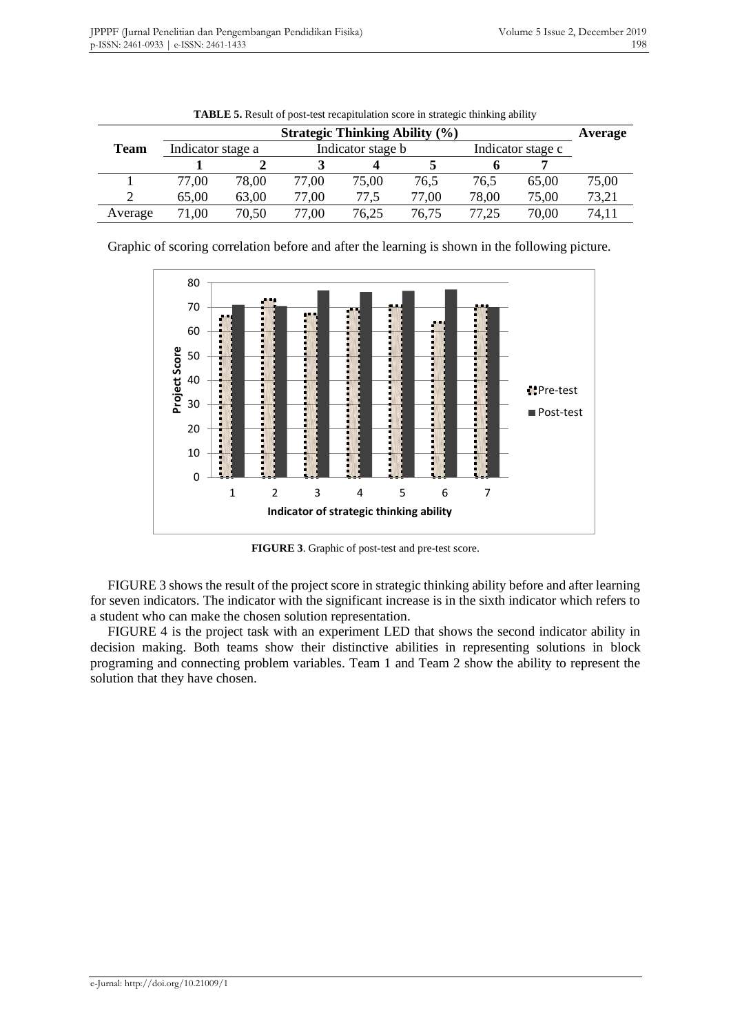|         | <b>Strategic Thinking Ability (%)</b> |       |                   |       |       |                   |       | Average |
|---------|---------------------------------------|-------|-------------------|-------|-------|-------------------|-------|---------|
| Team    | Indicator stage a                     |       | Indicator stage b |       |       | Indicator stage c |       |         |
|         |                                       |       |                   |       |       |                   |       |         |
|         | 77.00                                 | 78,00 | 77,00             | 75,00 | 76,5  | 76,5              | 65,00 | 75,00   |
|         | 65,00                                 | 63,00 | 77,00             | 77,5  | 77,00 | 78,00             | 75,00 | 73,21   |
| Average | 71,00                                 | 70,50 | 77,00             | 76,25 | 76,75 | 77.25             | 70,00 | 74,11   |

**TABLE 5.** Result of post-test recapitulation score in strategic thinking ability

Graphic of scoring correlation before and after the learning is shown in the following picture.



**FIGURE 3**. Graphic of post-test and pre-test score.

FIGURE 3 shows the result of the project score in strategic thinking ability before and after learning for seven indicators. The indicator with the significant increase is in the sixth indicator which refers to a student who can make the chosen solution representation.

FIGURE 4 is the project task with an experiment LED that shows the second indicator ability in decision making. Both teams show their distinctive abilities in representing solutions in block programing and connecting problem variables. Team 1 and Team 2 show the ability to represent the solution that they have chosen.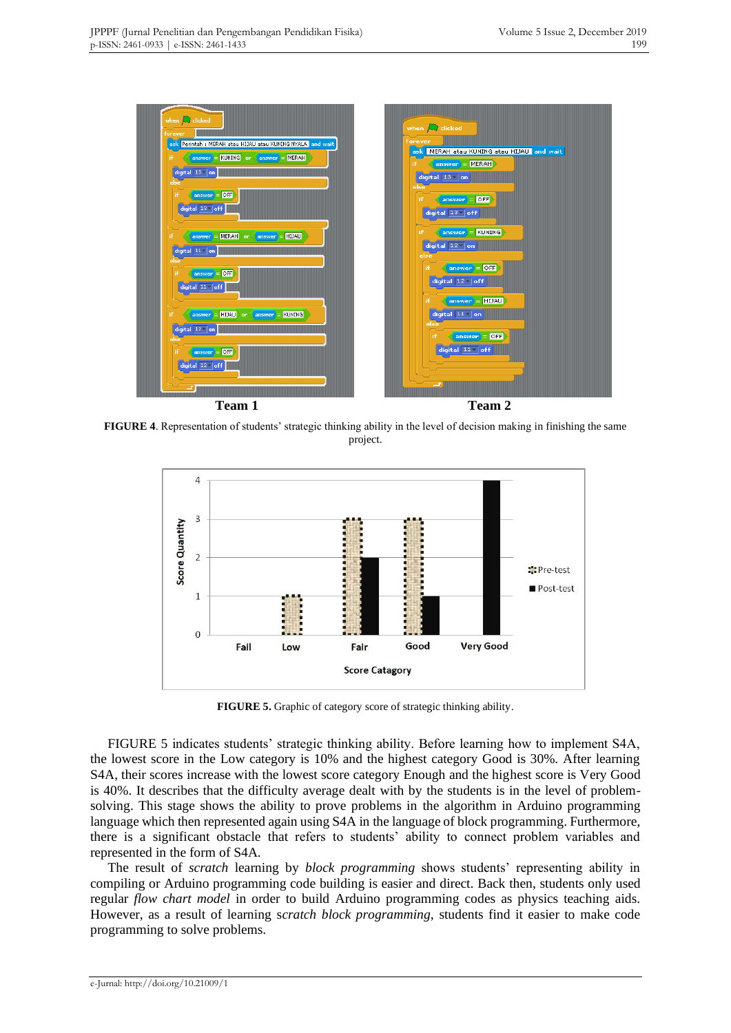

**FIGURE 4**. Representation of students' strategic thinking ability in the level of decision making in finishing the same project.



**FIGURE 5.** Graphic of category score of strategic thinking ability.

FIGURE 5 indicates students' strategic thinking ability. Before learning how to implement S4A, the lowest score in the Low category is 10% and the highest category Good is 30%. After learning S4A, their scores increase with the lowest score category Enough and the highest score is Very Good is 40%. It describes that the difficulty average dealt with by the students is in the level of problemsolving. This stage shows the ability to prove problems in the algorithm in Arduino programming language which then represented again using S4A in the language of block programming. Furthermore, there is a significant obstacle that refers to students' ability to connect problem variables and represented in the form of S4A.

The result of *scratch* learning by *block programming* shows students' representing ability in compiling or Arduino programming code building is easier and direct. Back then, students only used regular *flow chart model* in order to build Arduino programming codes as physics teaching aids. However, as a result of learning s*cratch block programming,* students find it easier to make code programming to solve problems.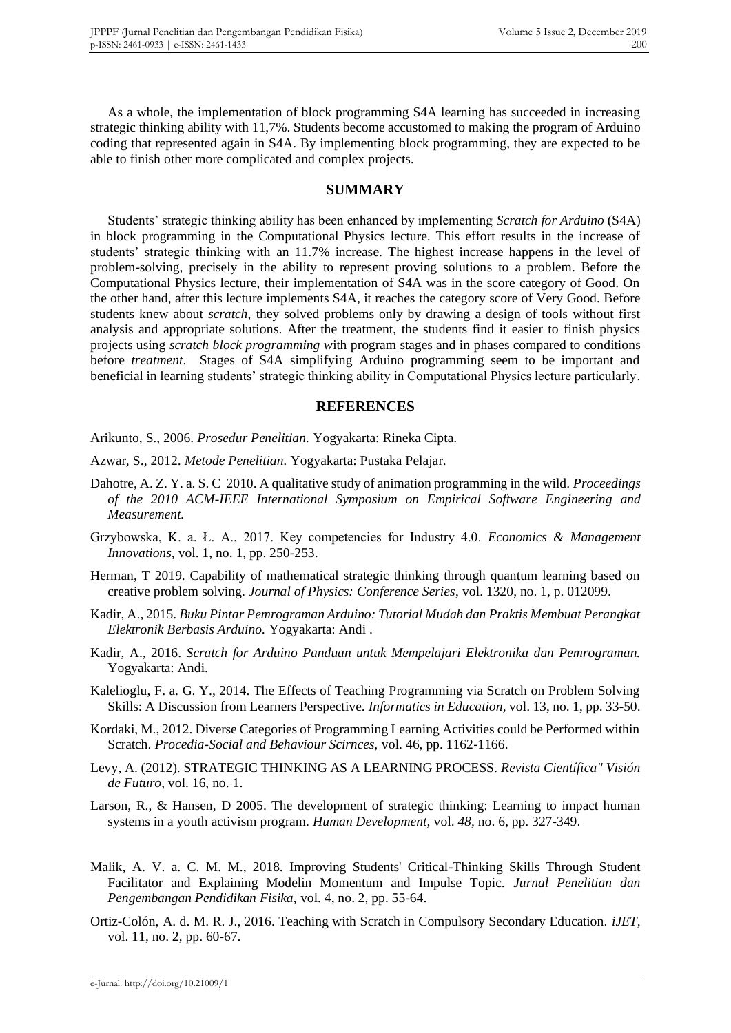As a whole, the implementation of block programming S4A learning has succeeded in increasing strategic thinking ability with 11,7%. Students become accustomed to making the program of Arduino coding that represented again in S4A. By implementing block programming, they are expected to be able to finish other more complicated and complex projects.

#### **SUMMARY**

Students' strategic thinking ability has been enhanced by implementing *Scratch for Arduino* (S4A) in block programming in the Computational Physics lecture. This effort results in the increase of students' strategic thinking with an 11.7% increase. The highest increase happens in the level of problem-solving, precisely in the ability to represent proving solutions to a problem. Before the Computational Physics lecture, their implementation of S4A was in the score category of Good. On the other hand, after this lecture implements S4A, it reaches the category score of Very Good. Before students knew about *scratch*, they solved problems only by drawing a design of tools without first analysis and appropriate solutions. After the treatment, the students find it easier to finish physics projects using *scratch block programming w*ith program stages and in phases compared to conditions before *treatment*. Stages of S4A simplifying Arduino programming seem to be important and beneficial in learning students' strategic thinking ability in Computational Physics lecture particularly.

#### **REFERENCES**

Arikunto, S., 2006. *Prosedur Penelitian.* Yogyakarta: Rineka Cipta.

- Azwar, S., 2012. *Metode Penelitian.* Yogyakarta: Pustaka Pelajar.
- Dahotre, A. Z. Y. a. S. C 2010. A qualitative study of animation programming in the wild. *Proceedings of the 2010 ACM-IEEE International Symposium on Empirical Software Engineering and Measurement.*
- Grzybowska, K. a. Ł. A., 2017. Key competencies for Industry 4.0. *Economics & Management Innovations,* vol. 1, no. 1, pp. 250-253.
- Herman, T 2019. Capability of mathematical strategic thinking through quantum learning based on creative problem solving. *Journal of Physics: Conference Series*, vol. 1320, no. 1, p. 012099.
- Kadir, A., 2015. *Buku Pintar Pemrograman Arduino: Tutorial Mudah dan Praktis Membuat Perangkat Elektronik Berbasis Arduino.* Yogyakarta: Andi .
- Kadir, A., 2016. *Scratch for Arduino Panduan untuk Mempelajari Elektronika dan Pemrograman.*  Yogyakarta: Andi.
- Kalelioglu, F. a. G. Y., 2014. The Effects of Teaching Programming via Scratch on Problem Solving Skills: A Discussion from Learners Perspective. *Informatics in Education,* vol. 13, no. 1, pp. 33-50.
- Kordaki, M., 2012. Diverse Categories of Programming Learning Activities could be Performed within Scratch. *Procedia-Social and Behaviour Scirnces,* vol. 46, pp. 1162-1166.
- Levy, A. (2012). STRATEGIC THINKING AS A LEARNING PROCESS. *Revista Científica" Visión de Futuro*, vol. 16, no. 1.
- Larson, R., & Hansen, D 2005. The development of strategic thinking: Learning to impact human systems in a youth activism program. *Human Development,* vol. *48,* no. 6, pp. 327-349.
- Malik, A. V. a. C. M. M., 2018. Improving Students' Critical-Thinking Skills Through Student Facilitator and Explaining Modelin Momentum and Impulse Topic. *Jurnal Penelitian dan Pengembangan Pendidikan Fisika,* vol. 4, no. 2, pp. 55-64.
- Ortiz-Colón, A. d. M. R. J., 2016. Teaching with Scratch in Compulsory Secondary Education. *iJET,*  vol. 11, no. 2, pp. 60-67.